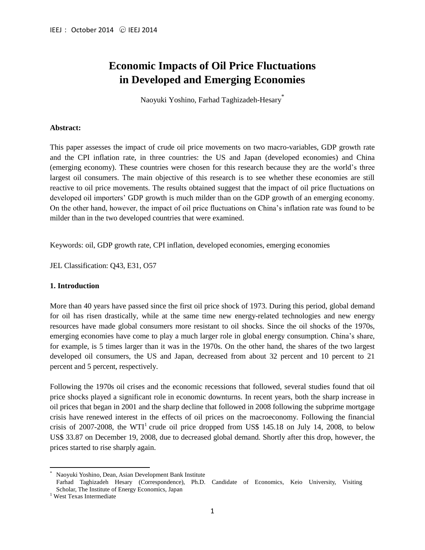# **Economic Impacts of Oil Price Fluctuations in Developed and Emerging Economies**

Naoyuki Yoshino, Farhad Taghizadeh-Hesary\*

## **Abstract:**

This paper assesses the impact of crude oil price movements on two macro-variables, GDP growth rate and the CPI inflation rate, in three countries: the US and Japan (developed economies) and China (emerging economy). These countries were chosen for this research because they are the world's three largest oil consumers. The main objective of this research is to see whether these economies are still reactive to oil price movements. The results obtained suggest that the impact of oil price fluctuations on developed oil importers' GDP growth is much milder than on the GDP growth of an emerging economy. On the other hand, however, the impact of oil price fluctuations on China's inflation rate was found to be milder than in the two developed countries that were examined.

Keywords: oil, GDP growth rate, CPI inflation, developed economies, emerging economies

JEL Classification: Q43, E31, O57

## **1. Introduction**

More than 40 years have passed since the first oil price shock of 1973. During this period, global demand for oil has risen drastically, while at the same time new energy-related technologies and new energy resources have made global consumers more resistant to oil shocks. Since the oil shocks of the 1970s, emerging economies have come to play a much larger role in global energy consumption. China's share, for example, is 5 times larger than it was in the 1970s. On the other hand, the shares of the two largest developed oil consumers, the US and Japan, decreased from about 32 percent and 10 percent to 21 percent and 5 percent, respectively.

Following the 1970s oil crises and the economic recessions that followed, several studies found that oil price shocks played a significant role in economic downturns. In recent years, both the sharp increase in oil prices that began in 2001 and the sharp decline that followed in 2008 following the subprime mortgage crisis have renewed interest in the effects of oil prices on the macroeconomy. Following the financial crisis of 2007-2008, the WTI<sup>1</sup> crude oil price dropped from US\$ 145.18 on July 14, 2008, to below US\$ 33.87 on December 19, 2008, due to decreased global demand. Shortly after this drop, however, the prices started to rise sharply again.

 $\overline{\phantom{a}}$ Naoyuki Yoshino, Dean, Asian Development Bank Institute

Farhad Taghizadeh Hesary (Correspondence), Ph.D. Candidate of Economics, Keio University, Visiting Scholar, The Institute of Energy Economics, Japan

<sup>&</sup>lt;sup>1</sup> West Texas Intermediate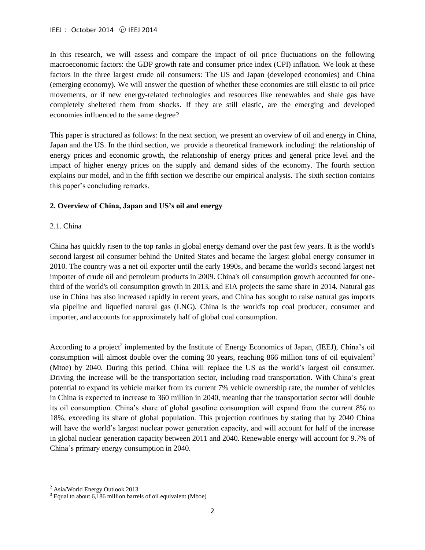In this research, we will assess and compare the impact of oil price fluctuations on the following macroeconomic factors: the GDP growth rate and consumer price index (CPI) inflation. We look at these factors in the three largest crude oil consumers: The US and Japan (developed economies) and China (emerging economy). We will answer the question of whether these economies are still elastic to oil price movements, or if new energy-related technologies and resources like renewables and shale gas have completely sheltered them from shocks. If they are still elastic, are the emerging and developed economies influenced to the same degree?

This paper is structured as follows: In the next section, we present an overview of oil and energy in China, Japan and the US. In the third section, we provide a theoretical framework including: the relationship of energy prices and economic growth, the relationship of energy prices and general price level and the impact of higher energy prices on the supply and demand sides of the economy. The fourth section explains our model, and in the fifth section we describe our empirical analysis. The sixth section contains this paper's concluding remarks.

## **2. Overview of China, Japan and US's oil and energy**

## 2.1. China

China has quickly risen to the top ranks in global energy demand over the past few years. It is the world's second largest oil consumer behind the United States and became the largest global energy consumer in 2010. The country was a net oil exporter until the early 1990s, and became the world's second largest net importer of crude oil and petroleum products in 2009. China's oil consumption growth accounted for onethird of the world's oil consumption growth in 2013, and EIA projects the same share in 2014. Natural gas use in China has also increased rapidly in recent years, and China has sought to raise natural gas imports via pipeline and liquefied natural gas (LNG). China is the world's top coal producer, consumer and importer, and accounts for approximately half of global coal consumption.

According to a project<sup>2</sup> implemented by the Institute of Energy Economics of Japan, (IEEJ), China's oil consumption will almost double over the coming 30 years, reaching 866 million tons of oil equivalent<sup>3</sup> (Mtoe) by 2040. During this period, China will replace the US as the world's largest oil consumer. Driving the increase will be the transportation sector, including road transportation. With China's great potential to expand its vehicle market from its current 7% vehicle ownership rate, the number of vehicles in China is expected to increase to 360 million in 2040, meaning that the transportation sector will double its oil consumption. China's share of global gasoline consumption will expand from the current 8% to 18%, exceeding its share of global population. This projection continues by stating that by 2040 China will have the world's largest nuclear power generation capacity, and will account for half of the increase in global nuclear generation capacity between 2011 and 2040. Renewable energy will account for 9.7% of China's primary energy consumption in 2040.

 $\overline{a}$ 

<sup>&</sup>lt;sup>2</sup> Asia/World Energy Outlook 2013

<sup>&</sup>lt;sup>3</sup> Equal to about 6,186 million barrels of oil equivalent (Mboe)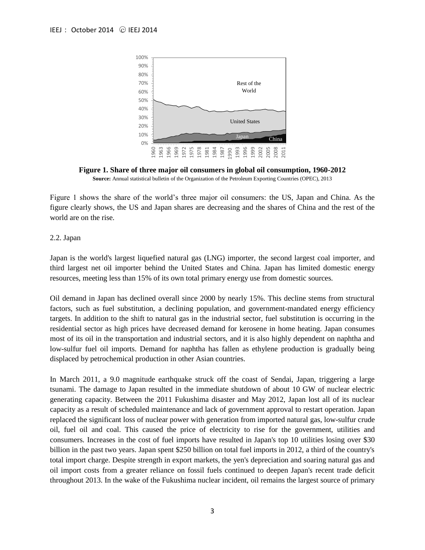

**Figure 1. Share of three major oil consumers in global oil consumption, 1960-2012 Source:** Annual statistical bulletin of the Organization of the Petroleum Exporting Countries (OPEC), 2013

Figure 1 shows the share of the world's three major oil consumers: the US, Japan and China. As the figure clearly shows, the US and Japan shares are decreasing and the shares of China and the rest of the world are on the rise.

#### 2.2. Japan

Japan is the world's largest liquefied natural gas (LNG) importer, the second largest coal importer, and third largest net oil importer behind the United States and China. Japan has limited domestic energy resources, meeting less than 15% of its own total primary energy use from domestic sources.

Oil demand in Japan has declined overall since 2000 by nearly 15%. This decline stems from structural factors, such as fuel substitution, a declining population, and government-mandated energy efficiency targets. In addition to the shift to natural gas in the industrial sector, fuel substitution is occurring in the residential sector as high prices have decreased demand for kerosene in home heating. Japan consumes most of its oil in the transportation and industrial sectors, and it is also highly dependent on naphtha and low-sulfur fuel oil imports. Demand for naphtha has fallen as ethylene production is gradually being displaced by petrochemical production in other Asian countries.

In March 2011, a 9.0 magnitude earthquake struck off the coast of Sendai, Japan, triggering a large tsunami. The damage to Japan resulted in the immediate shutdown of about 10 GW of nuclear electric generating capacity. Between the 2011 Fukushima disaster and May 2012, Japan lost all of its nuclear capacity as a result of scheduled maintenance and lack of government approval to restart operation. Japan replaced the significant loss of nuclear power with generation from imported natural gas, low-sulfur crude oil, fuel oil and coal. This caused the price of electricity to rise for the government, utilities and consumers. Increases in the cost of fuel imports have resulted in Japan's top 10 utilities losing over \$30 billion in the past two years. Japan spent \$250 billion on total fuel imports in 2012, a third of the country's total import charge. Despite strength in export markets, the yen's depreciation and soaring natural gas and oil import costs from a greater reliance on fossil fuels continued to deepen Japan's recent trade deficit throughout 2013. In the wake of the Fukushima nuclear incident, oil remains the largest source of primary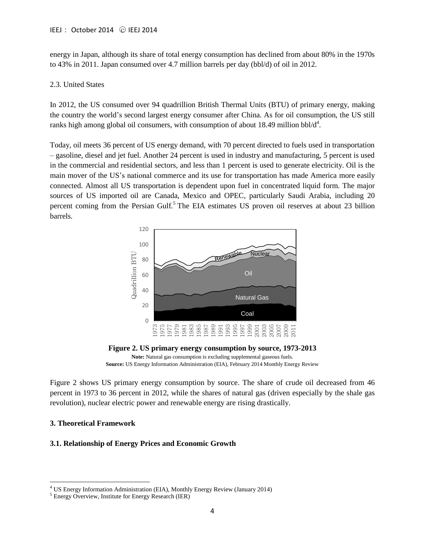energy in Japan, although its share of total energy consumption has declined from about 80% in the 1970s to 43% in 2011. Japan consumed over 4.7 million barrels per day (bbl/d) of oil in 2012.

#### 2.3. United States

In 2012, the US consumed over 94 quadrillion British Thermal Units (BTU) of primary energy, making the country the world's second largest energy consumer after China. As for oil consumption, the US still ranks high among global oil consumers, with consumption of about 18.49 million bbl/ $d^4$ .

Today, oil meets 36 percent of US energy demand, with 70 percent directed to fuels used in transportation – gasoline, diesel and jet fuel. Another 24 percent is used in industry and manufacturing, 5 percent is used in the commercial and residential sectors, and less than 1 percent is used to generate electricity. Oil is the main mover of the US's national commerce and its use for transportation has made America more easily connected. Almost all US transportation is dependent upon fuel in concentrated liquid form. The major sources of US imported oil are Canada, Mexico and OPEC, particularly Saudi Arabia, including 20 percent coming from the Persian Gulf.<sup>5</sup> The EIA estimates US proven oil reserves at about 23 billion barrels.





**Source:** US Energy Information Administration (EIA), February 2014 Monthly Energy Review

Figure 2 shows US primary energy consumption by source. The share of crude oil decreased from 46 percent in 1973 to 36 percent in 2012, while the shares of natural gas (driven especially by the shale gas revolution), nuclear electric power and renewable energy are rising drastically.

## **3. Theoretical Framework**

 $\overline{a}$ 

#### **3.1. Relationship of Energy Prices and Economic Growth**

<sup>&</sup>lt;sup>4</sup> US Energy Information Administration (EIA), Monthly Energy Review (January 2014)

<sup>5</sup> Energy Overview, Institute for Energy Research (IER)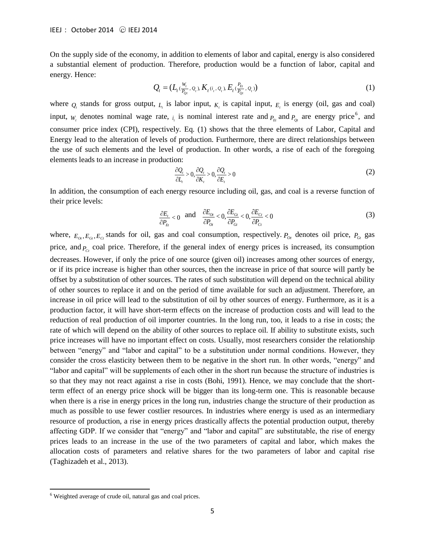On the supply side of the economy, in addition to elements of labor and capital, energy is also considered a substantial element of production. Therefore, production would be a function of labor, capital and energy. Hence:

$$
Q_t = (L_t(\frac{W_t}{P_{Qt}}, Q_t), K_t(i_t, Q_t), E_t(\frac{P_{Et}}{P_{Qt}}, Q_t))
$$
\n(1)

where  $Q_t$  stands for gross output,  $L_t$  is labor input,  $K_t$  is capital input,  $E_t$  is energy (oil, gas and coal) input,  $W_t$  denotes nominal wage rate,  $i_t$  is nominal interest rate and  $P_t$  and  $P_{Qt}$  are energy price<sup>6</sup>, and consumer price index (CPI), respectively. Eq. (1) shows that the three elements of Labor, Capital and Energy lead to the alteration of levels of production. Furthermore, there are direct relationships between the use of such elements and the level of production. In other words, a rise of each of the foregoing elements leads to an increase in production:

$$
\frac{\partial Q_i}{\partial L_i} > 0, \frac{\partial Q_i}{\partial K_i} > 0, \frac{\partial Q_i}{\partial E_i} > 0
$$
\n(2)

In addition, the consumption of each energy resource including oil, gas, and coal is a reverse function of their price levels:

$$
\frac{\partial E_t}{\partial P_{E_t}} < 0 \quad \text{and} \quad \frac{\partial E_{Ot}}{\partial P_{Ot}} < 0, \frac{\partial E_{Gt}}{\partial P_{Ci}} < 0, \frac{\partial E_{Ct}}{\partial P_{Ct}} < 0 \tag{3}
$$

where,  $E_{Qt}$ ,  $E_{Gt}$ ,  $E_{Ct}$  stands for oil, gas and coal consumption, respectively.  $P_{Qt}$  denotes oil price,  $P_{Gt}$  gas price, and  $P_{Ct}$  coal price. Therefore, if the general index of energy prices is increased, its consumption decreases. However, if only the price of one source (given oil) increases among other sources of energy, or if its price increase is higher than other sources, then the increase in price of that source will partly be offset by a substitution of other sources. The rates of such substitution will depend on the technical ability of other sources to replace it and on the period of time available for such an adjustment. Therefore, an increase in oil price will lead to the substitution of oil by other sources of energy. Furthermore, as it is a production factor, it will have short-term effects on the increase of production costs and will lead to the reduction of real production of oil importer countries. In the long run, too, it leads to a rise in costs; the rate of which will depend on the ability of other sources to replace oil. If ability to substitute exists, such price increases will have no important effect on costs. Usually, most researchers consider the relationship between "energy" and "labor and capital" to be a substitution under normal conditions. However, they consider the cross elasticity between them to be negative in the short run. In other words, "energy" and "labor and capital" will be supplements of each other in the short run because the structure of industries is so that they may not react against a rise in costs (Bohi, 1991). Hence, we may conclude that the shortterm effect of an energy price shock will be bigger than its long-term one. This is reasonable because when there is a rise in energy prices in the long run, industries change the structure of their production as much as possible to use fewer costlier resources. In industries where energy is used as an intermediary resource of production, a rise in energy prices drastically affects the potential production output, thereby affecting GDP. If we consider that "energy" and "labor and capital" are substitutable, the rise of energy prices leads to an increase in the use of the two parameters of capital and labor, which makes the allocation costs of parameters and relative shares for the two parameters of labor and capital rise (Taghizadeh et al., 2013).

 $\overline{\phantom{a}}$ 

<sup>6</sup> Weighted average of crude oil, natural gas and coal prices.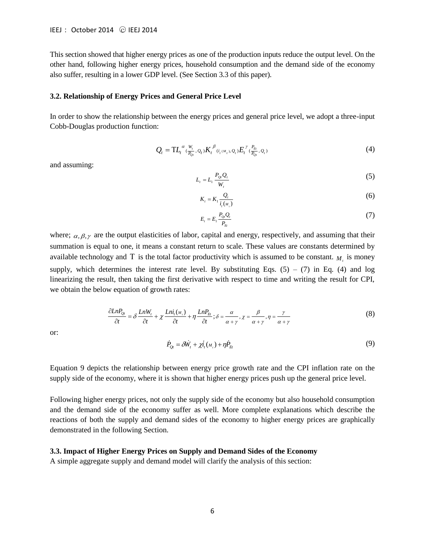This section showed that higher energy prices as one of the production inputs reduce the output level. On the other hand, following higher energy prices, household consumption and the demand side of the economy also suffer, resulting in a lower GDP level. (See Section 3.3 of this paper).

#### **3.2. Relationship of Energy Prices and General Price Level**

In order to show the relationship between the energy prices and general price level, we adopt a three-input Cobb-Douglas production function:

$$
Q_{t} = TL_{t}^{\alpha}(\frac{W_{t}}{P_{Q_{t}}}, Q_{t})K_{t}^{\beta}(\mathbf{u}_{t}, \mathbf{w}_{t}, Q_{t})E_{t}^{\gamma}(\frac{P_{E_{t}}}{P_{Q_{t}}}, Q_{t})
$$
\n
$$
\tag{4}
$$

and assuming:

$$
L_t = L_1 \frac{P_{Q_t} Q_t}{W_t} \tag{5}
$$

$$
K_{i} = K_{1} \frac{Q_{i}}{i_{i}(M_{i})}
$$
\n
$$
(6)
$$

$$
E_t = E_1 \frac{P_{Qt} Q_t}{P_{Et}} \tag{7}
$$

where;  $\alpha, \beta, \gamma$  are the output elasticities of labor, capital and energy, respectively, and assuming that their summation is equal to one, it means a constant return to scale. These values are constants determined by available technology and T is the total factor productivity which is assumed to be constant.  $M_t$  is money supply, which determines the interest rate level. By substituting Eqs.  $(5) - (7)$  in Eq.  $(4)$  and log linearizing the result, then taking the first derivative with respect to time and writing the result for CPI, we obtain the below equation of growth rates:

$$
\frac{\partial LnP_{0t}}{\partial t} = \delta \frac{LnW_t}{\partial t} + \chi \frac{Ln\dot{t}_t(\mu_t)}{\partial t} + \eta \frac{LnP_{tt}}{\partial t}; \delta = \frac{\alpha}{\alpha + \gamma}, \chi = \frac{\beta}{\alpha + \gamma}, \eta = \frac{\gamma}{\alpha + \gamma}
$$
(8)

or:

$$
\dot{P}_{Qt} = \delta \dot{W}_t + \chi \dot{t}_t(\mathbf{M}_t) + \eta \dot{P}_{Et}
$$
\n(9)

Equation 9 depicts the relationship between energy price growth rate and the CPI inflation rate on the supply side of the economy, where it is shown that higher energy prices push up the general price level.

Following higher energy prices, not only the supply side of the economy but also household consumption and the demand side of the economy suffer as well. More complete explanations which describe the reactions of both the supply and demand sides of the economy to higher energy prices are graphically demonstrated in the following Section.

#### **3.3. Impact of Higher Energy Prices on Supply and Demand Sides of the Economy**

A simple aggregate supply and demand model will clarify the analysis of this section: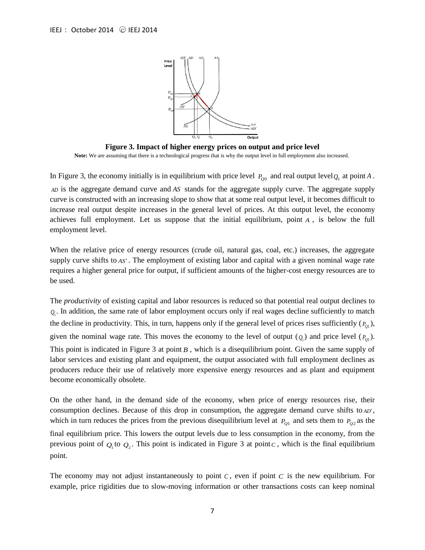

**Figure 3. Impact of higher energy prices on output and price level Note:** We are assuming that there is a technological progress that is why the output level in full employment also increased.

In Figure 3, the economy initially is in equilibrium with price level  $P_{Q0}$  and real output level  $Q_0$  at point A.

*AD* is the aggregate demand curve and *AS* stands for the aggregate supply curve. The aggregate supply curve is constructed with an increasing slope to show that at some real output level, it becomes difficult to increase real output despite increases in the general level of prices. At this output level, the economy achieves full employment. Let us suppose that the initial equilibrium, point *A* , is below the full employment level.

When the relative price of energy resources (crude oil, natural gas, coal, etc.) increases, the aggregate supply curve shifts to *AS* . The employment of existing labor and capital with a given nominal wage rate requires a higher general price for output, if sufficient amounts of the higher-cost energy resources are to be used.

The *productivity* of existing capital and labor resources is reduced so that potential real output declines to  $Q_1$ . In addition, the same rate of labor employment occurs only if real wages decline sufficiently to match the decline in productivity. This, in turn, happens only if the general level of prices rises sufficiently  $(P_{Q1})$ , given the nominal wage rate. This moves the economy to the level of output  $(Q_1)$  and price level  $(P_{Q_1})$ . This point is indicated in Figure 3 at point B, which is a disequilibrium point. Given the same supply of labor services and existing plant and equipment, the output associated with full employment declines as producers reduce their use of relatively more expensive energy resources and as plant and equipment become economically obsolete.

On the other hand, in the demand side of the economy, when price of energy resources rise, their consumption declines. Because of this drop in consumption, the aggregate demand curve shifts to *AD'*, which in turn reduces the prices from the previous disequilibrium level at  $P_{Q1}$  and sets them to  $P_{Q2}$  as the final equilibrium price. This lowers the output levels due to less consumption in the economy, from the previous point of  $Q_1$  to  $Q_2$ . This point is indicated in Figure 3 at point c, which is the final equilibrium point.

The economy may not adjust instantaneously to point  $C$ , even if point  $C$  is the new equilibrium. For example, price rigidities due to slow-moving information or other transactions costs can keep nominal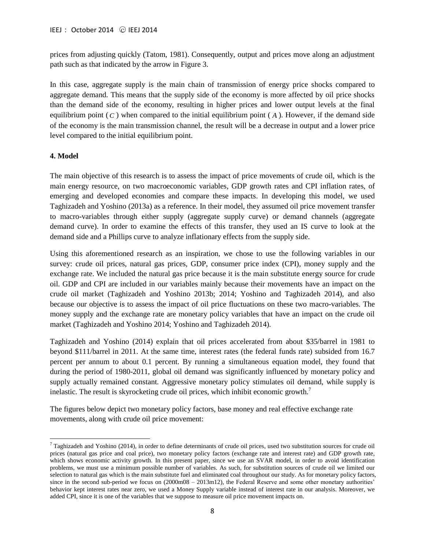prices from adjusting quickly (Tatom, 1981). Consequently, output and prices move along an adjustment path such as that indicated by the arrow in Figure 3.

In this case, aggregate supply is the main chain of transmission of energy price shocks compared to aggregate demand. This means that the supply side of the economy is more affected by oil price shocks than the demand side of the economy, resulting in higher prices and lower output levels at the final equilibrium point  $(C)$  when compared to the initial equilibrium point  $(A)$ . However, if the demand side of the economy is the main transmission channel, the result will be a decrease in output and a lower price level compared to the initial equilibrium point.

#### **4. Model**

 $\overline{\phantom{a}}$ 

The main objective of this research is to assess the impact of price movements of crude oil, which is the main energy resource, on two macroeconomic variables, GDP growth rates and CPI inflation rates, of emerging and developed economies and compare these impacts. In developing this model, we used Taghizadeh and Yoshino (2013a) as a reference. In their model, they assumed oil price movement transfer to macro-variables through either supply (aggregate supply curve) or demand channels (aggregate demand curve). In order to examine the effects of this transfer, they used an IS curve to look at the demand side and a Phillips curve to analyze inflationary effects from the supply side.

Using this aforementioned research as an inspiration, we chose to use the following variables in our survey: crude oil prices, natural gas prices, GDP, consumer price index (CPI), money supply and the exchange rate. We included the natural gas price because it is the main substitute energy source for crude oil. GDP and CPI are included in our variables mainly because their movements have an impact on the crude oil market (Taghizadeh and Yoshino 2013b; 2014; Yoshino and Taghizadeh 2014), and also because our objective is to assess the impact of oil price fluctuations on these two macro-variables. The money supply and the exchange rate are monetary policy variables that have an impact on the crude oil market (Taghizadeh and Yoshino 2014; Yoshino and Taghizadeh 2014).

Taghizadeh and Yoshino (2014) explain that oil prices accelerated from about \$35/barrel in 1981 to beyond \$111/barrel in 2011. At the same time, interest rates (the federal funds rate) subsided from 16.7 percent per annum to about 0.1 percent. By running a simultaneous equation model, they found that during the period of 1980-2011, global oil demand was significantly influenced by monetary policy and supply actually remained constant. Aggressive monetary policy stimulates oil demand, while supply is inelastic. The result is skyrocketing crude oil prices, which inhibit economic growth.<sup>7</sup>

The figures below depict two monetary policy factors, base money and real effective exchange rate movements, along with crude oil price movement:

 $7$  Taghizadeh and Yoshino (2014), in order to define determinants of crude oil prices, used two substitution sources for crude oil prices (natural gas price and coal price), two monetary policy factors (exchange rate and interest rate) and GDP growth rate, which shows economic activity growth. In this present paper, since we use an SVAR model, in order to avoid identification problems, we must use a minimum possible number of variables. As such, for substitution sources of crude oil we limited our selection to natural gas which is the main substitute fuel and eliminated coal throughout our study. As for monetary policy factors, since in the second sub-period we focus on  $(2000m08 - 2013m12)$ , the Federal Reserve and some other monetary authorities' behavior kept interest rates near zero, we used a Money Supply variable instead of interest rate in our analysis. Moreover, we added CPI, since it is one of the variables that we suppose to measure oil price movement impacts on.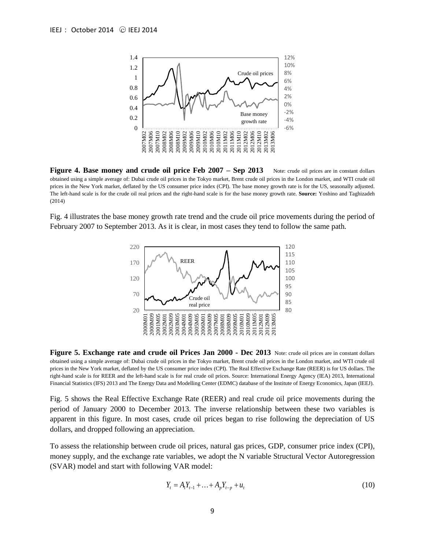

**Figure 4. Base money and crude oil price Feb 2007 – Sep 2013** Note: crude oil prices are in constant dollars obtained using a simple average of: Dubai crude oil prices in the Tokyo market, Brent crude oil prices in the London market, and WTI crude oil prices in the New York market, deflated by the US consumer price index (CPI). The base money growth rate is for the US, seasonally adjusted. The left-hand scale is for the crude oil real prices and the right-hand scale is for the base money growth rate. **Source:** Yoshino and Taghizadeh (2014)

Fig. 4 illustrates the base money growth rate trend and the crude oil price movements during the period of February 2007 to September 2013. As it is clear, in most cases they tend to follow the same path.



**Figure 5. Exchange rate and crude oil Prices Jan 2000 - Dec 2013** Note: crude oil prices are in constant dollars obtained using a simple average of: Dubai crude oil prices in the Tokyo market, Brent crude oil prices in the London market, and WTI crude oil prices in the New York market, deflated by the US consumer price index (CPI). The Real Effective Exchange Rate (REER) is for US dollars. The right-hand scale is for REER and the left-hand scale is for real crude oil prices. Source: International Energy Agency (IEA) 2013, International Financial Statistics (IFS) 2013 and The Energy Data and Modelling Center (EDMC) database of the Institute of Energy Economics, Japan (IEEJ)*.*

Fig. 5 shows the Real Effective Exchange Rate (REER) and real crude oil price movements during the period of January 2000 to December 2013. The inverse relationship between these two variables is apparent in this figure. In most cases, crude oil prices began to rise following the depreciation of US dollars, and dropped following an appreciation.

To assess the relationship between crude oil prices, natural gas prices, GDP, consumer price index (CPI), money supply, and the exchange rate variables, we adopt the N variable Structural Vector Autoregression (SVAR) model and start with following VAR model:

$$
Y_t = A_1 Y_{t-1} + \ldots + A_p Y_{t-p} + u_t
$$
\n(10)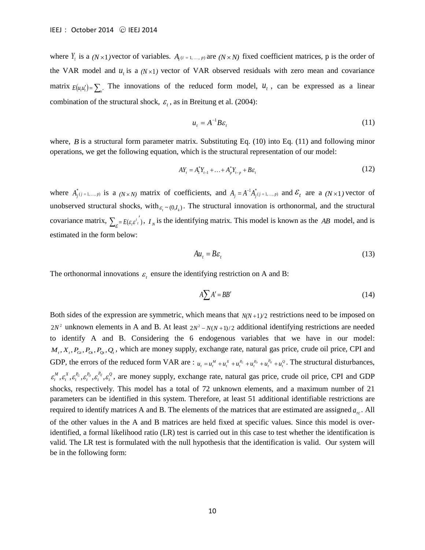where  $Y_i$  is a  $(N \times 1)$  vector of variables.  $A_i$   $(i = 1, ..., p)$  are  $(N \times N)$  fixed coefficient matrices, p is the order of the VAR model and  $u_t$  is a  $(N \times 1)$  vector of VAR observed residuals with zero mean and covariance matrix  $E(u, u') = \sum_{u}$ . The innovations of the reduced form model,  $u_t$ , can be expressed as a linear combination of the structural shock,  $\varepsilon$ <sub>t</sub>, as in Breitung et al. (2004):

$$
u_t = A^{-1} B \varepsilon_t \tag{11}
$$

where,  $B$  is a structural form parameter matrix. Substituting Eq.  $(10)$  into Eq.  $(11)$  and following minor operations, we get the following equation, which is the structural representation of our model:

$$
AY_{t} = A_{1}^{*}Y_{t-1} + ... + A_{p}^{*}Y_{t-p} + B\varepsilon_{t}
$$
\n(12)

where  $A_{j}^{*}(i=1,...,p)$  is a  $(N\times N)$  matrix of coefficients, and  $A_{j}=A^{-1}A_{j}^{*}(i=1,...,p)$  and  $\mathcal{E}_{t}$  are a  $(N\times1)$  vector of unobserved structural shocks, with  $\varepsilon$ <sub>*i*</sub>  $\sim$  (0,*I<sub>k</sub>*). The structural innovation is orthonormal, and the structural covariance matrix,  $\sum_{\varepsilon} E(\varepsilon_{i} \varepsilon_{i}^{t})$ ,  $I_{N}$  is the identifying matrix. This model is known as the *AB* model, and is estimated in the form below:

$$
Au_t = B\varepsilon_t \tag{13}
$$

The orthonormal innovations  $\varepsilon$ <sub>t</sub> ensure the identifying restriction on A and B:

$$
A\sum A'=BB'
$$
 (14)

Both sides of the expression are symmetric, which means that  $N(N+1)/2$  restrictions need to be imposed on  $2N^2$  unknown elements in A and B. At least  $2N^2 - N(N+1)/2$  additional identifying restrictions are needed to identify A and B. Considering the 6 endogenous variables that we have in our model:  $M_t, X_t, P_{\alpha}, P_{\alpha}, P_{\alpha}, Q_t$ , which are money supply, exchange rate, natural gas price, crude oil price, CPI and GDP, the errors of the reduced form VAR are :  $u_t = u_t^M + u_t^X + u_t^{P_0} + u_t^{P_0} + u_t^{P_0} + u_t^{Q}$ . The structural disturbances, *Q t P t P t P*  $\varepsilon_t^M$ ,  $\varepsilon_t^R$ ,  $\varepsilon_t^P$ ,  $\varepsilon_t^P$ ,  $\varepsilon_t^P$ ,  $\varepsilon_t^Q$ , are money supply, exchange rate, natural gas price, crude oil price, CPI and GDP shocks, respectively. This model has a total of 72 unknown elements, and a maximum number of 21 parameters can be identified in this system. Therefore, at least 51 additional identifiable restrictions are required to identify matrices A and B. The elements of the matrices that are estimated are assigned  $a_{rc}$ . All of the other values in the A and B matrices are held fixed at specific values. Since this model is overidentified, a formal likelihood ratio (LR) test is carried out in this case to test whether the identification is valid. The LR test is formulated with the null hypothesis that the identification is valid. Our system will be in the following form: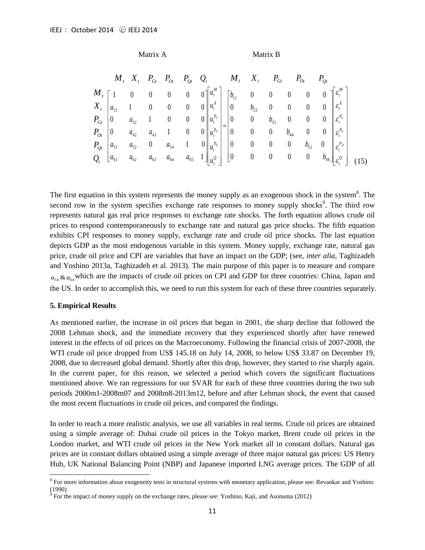Matrix A Matrix B

|                  |                                           | $M_t$ , $X_t$ , $P_{G_t}$       |                          |  | $P_{Ot}$ $P_{Qt}$ $Q_{t}$ $M_{t}$                                                                                  |                 |                | $P_{\scriptscriptstyle Gt}$ |                             |                |                |                                        |  |
|------------------|-------------------------------------------|---------------------------------|--------------------------|--|--------------------------------------------------------------------------------------------------------------------|-----------------|----------------|-----------------------------|-----------------------------|----------------|----------------|----------------------------------------|--|
|                  |                                           | $\begin{matrix} 0 \end{matrix}$ |                          |  | 0 0 0 $0$ $\begin{bmatrix} u_t^M \end{bmatrix}$ $\begin{bmatrix} b_{11} & 0 & 0 & 0 \end{bmatrix}$                 |                 |                |                             |                             | $0\qquad 0$    |                | $\int \mathcal{E}_{t}^{M}$             |  |
|                  | $X_t \mid a_{21} \quad 1 \quad 0 \quad 0$ |                                 |                          |  | $\begin{array}{ccccccccc} 0 & 0 & u_i^X & 0 & 0 & 0 & 0 \end{array}$                                               |                 |                |                             |                             |                |                | $\left\  \varepsilon_t^X \right\ $     |  |
| $P_{Gt}$   0     |                                           | $a_{32}$                        | $1 \qquad 0$             |  | 0 0 $\left\  u_t^{P_G} \right\ $ 10 0 $b_{33}$                                                                     |                 |                |                             | $\overline{\phantom{0}}$    | $0\qquad 0$    |                | $\left\  \varepsilon_t^{P_G} \right\ $ |  |
|                  | $P_{Ot}$ 0 $a_{42}$                       |                                 | $a_{43}$                 |  | $1 \qquad 0 \qquad 0 \parallel u_t^{P_o} \parallel \ \ \vert 0 \qquad \quad 0 \qquad 0$                            |                 |                |                             | $b_{\scriptscriptstyle 44}$ | $0\qquad 0$    |                | $\mathcal{E}^{P_O}_t$                  |  |
| $P_{Qt}$         | $ a_{51} $                                | $a_{52}$                        | $\overline{\phantom{0}}$ |  | $a_{54}$ 1 0 $\left  u_t^{P_Q} \right $                                                                            | $\vert 0 \vert$ | $\overline{0}$ | $\overline{0}$              | $\overline{0}$              | $b_{55}$       | $\overline{0}$ | $\mathcal{E}^{P_{Q}}$                  |  |
| $Q_{t}$ $a_{61}$ |                                           |                                 |                          |  | $a_{62}$ $a_{63}$ $a_{64}$ $a_{65}$ $1\parallel \frac{1}{u^Q} \parallel$ $\begin{bmatrix} 0 & 0 & 0 \end{bmatrix}$ |                 |                |                             | $\overline{0}$              | $\overline{0}$ | $b_{66}$       | $\varepsilon_{i}^{\varrho}$            |  |

The first equation in this system represents the money supply as an exogenous shock in the system $8$ . The second row in the system specifies exchange rate responses to money supply shocks<sup>9</sup>. The third row represents natural gas real price responses to exchange rate shocks. The forth equation allows crude oil prices to respond contemporaneously to exchange rate and natural gas price shocks. The fifth equation exhibits CPI responses to money supply, exchange rate and crude oil price shocks. The last equation depicts GDP as the most endogenous variable in this system. Money supply, exchange rate, natural gas price, crude oil price and CPI are variables that have an impact on the GDP; (see, *inter alia,* Taghizadeh and Yoshino 2013a, Taghizadeh et al. 2013). The main purpose of this paper is to measure and compare  $a_{54} \& a_{64}$  which are the impacts of crude oil prices on CPI and GDP for three countries: China, Japan and the US. In order to accomplish this, we need to run this system for each of these three countries separately.

#### **5. Empirical Results**

l

As mentioned earlier, the increase in oil prices that began in 2001, the sharp decline that followed the 2008 Lehman shock, and the immediate recovery that they experienced shortly after have renewed interest in the effects of oil prices on the Macroeconomy. Following the financial crisis of 2007-2008, the WTI crude oil price dropped from US\$ 145.18 on July 14, 2008, to below US\$ 33.87 on December 19, 2008, due to decreased global demand. Shortly after this drop, however, they started to rise sharply again. In the current paper, for this reason, we selected a period which covers the significant fluctuations mentioned above. We ran regressions for our SVAR for each of these three countries during the two sub periods 2000m1-2008m07 and 2008m8-2013m12, before and after Lehman shock, the event that caused the most recent fluctuations in crude oil prices, and compared the findings.

In order to reach a more realistic analysis, we use all variables in real terms. Crude oil prices are obtained using a simple average of: Dubai crude oil prices in the Tokyo market, Brent crude oil prices in the London market, and WTI crude oil prices in the New York market all in constant dollars. Natural gas prices are in constant dollars obtained using a simple average of three major natural gas prices: US Henry Hub, UK National Balancing Point (NBP) and Japanese imported LNG average prices. The GDP of all

<sup>&</sup>lt;sup>8</sup> For more information about exogeneity tests in structural systems with monetary application, please see: Revankar and Yoshino (1990)

<sup>&</sup>lt;sup>9</sup> For the impact of money supply on the exchange rates, please see: Yoshino, Kaji, and Asonuma (2012)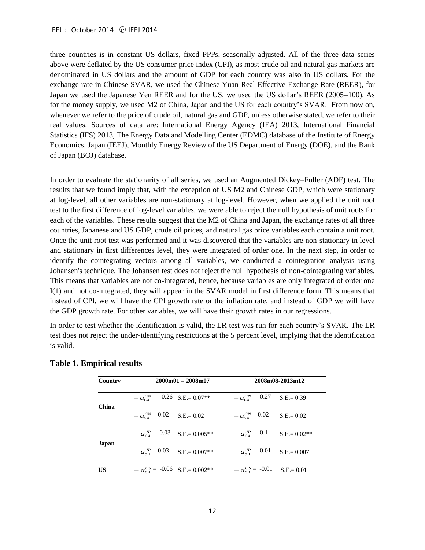three countries is in constant US dollars, fixed PPPs, seasonally adjusted. All of the three data series above were deflated by the US consumer price index (CPI), as most crude oil and natural gas markets are denominated in US dollars and the amount of GDP for each country was also in US dollars. For the exchange rate in Chinese SVAR, we used the Chinese Yuan Real Effective Exchange Rate (REER), for Japan we used the Japanese Yen REER and for the US, we used the US dollar's REER (2005=100). As for the money supply, we used M2 of China, Japan and the US for each country's SVAR. From now on, whenever we refer to the price of crude oil, natural gas and GDP, unless otherwise stated, we refer to their real values. Sources of data are: International Energy Agency (IEA) 2013, International Financial Statistics (IFS) 2013, The Energy Data and Modelling Center (EDMC) database of the Institute of Energy Economics, Japan (IEEJ), Monthly Energy Review of the US Department of Energy (DOE), and the Bank of Japan (BOJ) database.

In order to evaluate the stationarity of all series, we used an Augmented Dickey–Fuller (ADF) test. The results that we found imply that, with the exception of US M2 and Chinese GDP, which were stationary at log-level, all other variables are non-stationary at log-level. However, when we applied the unit root test to the first difference of log-level variables, we were able to reject the null hypothesis of unit roots for each of the variables. These results suggest that the M2 of China and Japan, the exchange rates of all three countries, Japanese and US GDP, crude oil prices, and natural gas price variables each contain a unit root. Once the unit root test was performed and it was discovered that the variables are non-stationary in level and stationary in first differences level, they were integrated of order one. In the next step, in order to identify the cointegrating vectors among all variables, we conducted a cointegration analysis using Johansen's technique. The Johansen test does not reject the null hypothesis of non-cointegrating variables. This means that variables are not co-integrated, hence, because variables are only integrated of order one I(1) and not co-integrated, they will appear in the SVAR model in first difference form. This means that instead of CPI, we will have the CPI growth rate or the inflation rate, and instead of GDP we will have the GDP growth rate. For other variables, we will have their growth rates in our regressions.

In order to test whether the identification is valid, the LR test was run for each country's SVAR. The LR test does not reject the under-identifying restrictions at the 5 percent level, implying that the identification is valid.

| Country |                                       | $2000m01 - 2008m07$ | 2008m08-2013m12        |                |  |  |  |
|---------|---------------------------------------|---------------------|------------------------|----------------|--|--|--|
|         | $-a_{64}^{CN}$ = -0.26 S.E. = 0.07**  |                     | $-a_{64}^{CN}$ = -0.27 | $S.E = 0.39$   |  |  |  |
| China   | $-a_{54}^{CN} = 0.02$ S.E. = 0.02     |                     | $-a_{54}^{CN} = 0.02$  | $S.E = 0.02$   |  |  |  |
| Japan   | $-a_{64}^{JP} = 0.03$ S.E.= 0.005**   |                     | $-a_{64}^{JP} = -0.1$  | $S.E = 0.02**$ |  |  |  |
|         | $-a_{54}^{JP} = 0.03$ S.E. = 0.007**  |                     | $-a_{54}^{JP} = -0.01$ | $S.E = 0.007$  |  |  |  |
| US      | $-a_{64}^{US}$ = -0.06 S.E. = 0.002** |                     | $-a_{64}^{US}$ = -0.01 | $S.E = 0.01$   |  |  |  |

#### **Table 1. Empirical results**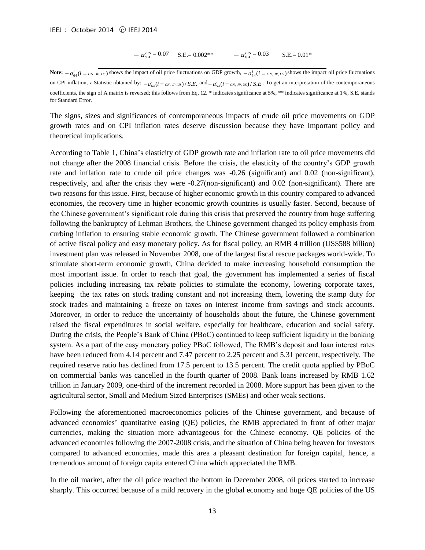$$
- a_{54}^{US} = 0.07 \quad \text{S.E.} = 0.002^{**} \quad -a_{64}^{US} = 0.03 \quad \text{S.E.} = 0.01^*
$$

**Note:**  $-a_{64}^i(i = c_N, p, vs)$  shows the impact of oil price fluctuations on GDP growth,  $-a_{54}^i(i = c_N, p, vs)$  shows the impact oil price fluctuations on CPI inflation, z-Statistic obtained by:  $-a_{64}^i (i = c_N, p, vs)/S.E$ . and  $-a_{54}^i (i = c_N, p, vs)/S.E$ . To get an interpretation of the contemporaneous coefficients, the sign of A matrix is reversed; this follows from Eq. 12. \* indicates significance at 5%, \*\* indicates significance at 1%, S.E. stands for Standard Error.

The signs, sizes and significances of contemporaneous impacts of crude oil price movements on GDP growth rates and on CPI inflation rates deserve discussion because they have important policy and theoretical implications.

 $-a_{ss}^{US} = 0.07$  S.E.= 0.002\*\*<br>mpact of oil price fluctuations on Gl<br>by:  $-a_{ss}^{US} = 0.07$  S.E.= 0.002\*\*<br>mpact of oil price fluctuations on Gl<br>by:  $-a_{ds}^{US}$  ( $i = c_N, \mu, \nu$ ) / S.E. and  $-a$ <br>versed; this follows from Eq. 12. \* i According to Table 1, China's elasticity of GDP growth rate and inflation rate to oil price movements did not change after the 2008 financial crisis. Before the crisis, the elasticity of the country's GDP growth rate and inflation rate to crude oil price changes was  $-0.26$  (significant) and 0.02 (non-significant), respectively, and after the crisis they were -0.27(non-significant) and 0.02 (non-significant). There are two reasons for this issue. First, because of higher economic growth in this country compared to advanced economies, the recovery time in higher economic growth countries is usually faster. Second, because of the Chinese government's significant role during this crisis that preserved the country from huge suffering following the bankruptcy of Lehman Brothers, the Chinese government changed its policy emphasis from curbing inflation to ensuring stable economic growth. The Chinese government followed a combination of active fiscal policy and easy monetary policy. As for fiscal policy, an RMB 4 trillion (US\$588 billion) investment plan was released in November 2008, one of the largest fiscal rescue packages world-wide. To stimulate short-term economic growth, China decided to make increasing household consumption the most important issue. In order to reach that goal, the government has implemented a series of fiscal policies including increasing tax rebate policies to stimulate the economy, lowering corporate taxes, keeping the tax rates on stock trading constant and not increasing them, lowering the stamp duty for stock trades and maintaining a freeze on taxes on interest income from savings and stock accounts. Moreover, in order to reduce the uncertainty of households about the future, the Chinese government raised the fiscal expenditures in social welfare, especially for healthcare, education and social safety. During the crisis, the People's Bank of China (PBoC) continued to keep sufficient liquidity in the banking system. As a part of the easy monetary policy PBoC followed, The RMB's deposit and loan interest rates have been reduced from 4.14 percent and 7.47 percent to 2.25 percent and 5.31 percent, respectively. The required reserve ratio has declined from 17.5 percent to 13.5 percent. The credit quota applied by PBoC on commercial banks was cancelled in the fourth quarter of 2008. Bank loans increased by RMB 1.62 trillion in January 2009, one-third of the increment recorded in 2008. More support has been given to the agricultural sector, Small and Medium Sized Enterprises (SMEs) and other weak sections.

Following the aforementioned macroeconomics policies of the Chinese government, and because of advanced economies' quantitative easing (QE) policies, the RMB appreciated in front of other major currencies, making the situation more advantageous for the Chinese economy. QE policies of the advanced economies following the 2007-2008 crisis, and the situation of China being heaven for investors compared to advanced economies, made this area a pleasant destination for foreign capital, hence, a tremendous amount of foreign capita entered China which appreciated the RMB.

In the oil market, after the oil price reached the bottom in December 2008, oil prices started to increase sharply. This occurred because of a mild recovery in the global economy and huge QE policies of the US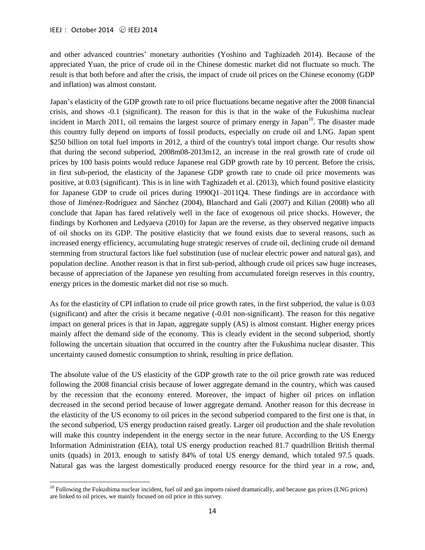$\overline{a}$ 

and other advanced countries' monetary authorities (Yoshino and Taghizadeh 2014). Because of the appreciated Yuan, the price of crude oil in the Chinese domestic market did not fluctuate so much. The result is that both before and after the crisis, the impact of crude oil prices on the Chinese economy (GDP and inflation) was almost constant.

Japan's elasticity of the GDP growth rate to oil price fluctuations became negative after the 2008 financial crisis, and shows -0.1 (significant). The reason for this is that in the wake of the Fukushima nuclear incident in March 2011, oil remains the largest source of primary energy in Japan $10$ . The disaster made this country fully depend on imports of fossil products, especially on crude oil and LNG. Japan spent \$250 billion on total fuel imports in 2012, a third of the country's total import charge. Our results show that during the second subperiod, 2008m08-2013m12, an increase in the real growth rate of crude oil prices by 100 basis points would reduce Japanese real GDP growth rate by 10 percent. Before the crisis, in first sub-period, the elasticity of the Japanese GDP growth rate to crude oil price movements was positive, at 0.03 (significant). This is in line with Taghizadeh et al. (2013), which found positive elasticity for Japanese GDP to crude oil prices during 1990Q1–2011Q4. These findings are in accordance with those of Jiménez-Rodríguez and Sánchez (2004), Blanchard and Galí (2007) and Kilian (2008) who all conclude that Japan has fared relatively well in the face of exogenous oil price shocks. However, the findings by Korhonen and Ledyaeva (2010) for Japan are the reverse, as they observed negative impacts of oil shocks on its GDP. The positive elasticity that we found exists due to several reasons, such as increased energy efficiency, accumulating huge strategic reserves of crude oil, declining crude oil demand stemming from structural factors like fuel substitution (use of nuclear electric power and natural gas), and population decline. Another reason is that in first sub-period, although crude oil prices saw huge increases, because of appreciation of the Japanese yen resulting from accumulated foreign reserves in this country, energy prices in the domestic market did not rise so much.

As for the elasticity of CPI inflation to crude oil price growth rates, in the first subperiod, the value is 0.03 (significant) and after the crisis it became negative (-0.01 non-significant). The reason for this negative impact on general prices is that in Japan, aggregate supply (AS) is almost constant. Higher energy prices mainly affect the demand side of the economy. This is clearly evident in the second subperiod, shortly following the uncertain situation that occurred in the country after the Fukushima nuclear disaster. This uncertainty caused domestic consumption to shrink, resulting in price deflation.

The absolute value of the US elasticity of the GDP growth rate to the oil price growth rate was reduced following the 2008 financial crisis because of lower aggregate demand in the country, which was caused by the recession that the economy entered. Moreover, the impact of higher oil prices on inflation decreased in the second period because of lower aggregate demand. Another reason for this decrease in the elasticity of the US economy to oil prices in the second subperiod compared to the first one is that, in the second subperiod, US energy production raised greatly. Larger oil production and the shale revolution will make this country independent in the energy sector in the near future. According to the US Energy Information Administration (EIA), total US energy production reached 81.7 quadrillion British thermal units (quads) in 2013, enough to satisfy 84% of total US energy demand, which totaled 97.5 quads. Natural gas was the largest domestically produced energy resource for the third year in a row, and,

 $10$  Following the Fukushima nuclear incident, fuel oil and gas imports raised dramatically, and because gas prices (LNG prices) are linked to oil prices, we mainly focused on oil price in this survey.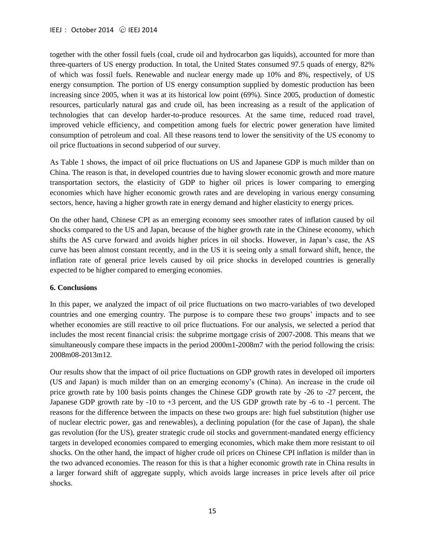together with the other fossil fuels (coal, crude oil and hydrocarbon gas liquids), accounted for more than three-quarters of US energy production. In total, the United States consumed 97.5 quads of energy, 82% of which was fossil fuels. Renewable and nuclear energy made up 10% and 8%, respectively, of US energy consumption. The portion of US energy consumption supplied by domestic production has been increasing since 2005, when it was at its historical low point (69%). Since 2005, production of domestic resources, particularly natural gas and crude oil, has been increasing as a result of the application of technologies that can develop harder-to-produce resources. At the same time, reduced road travel, improved vehicle efficiency, and competition among fuels for electric power generation have limited consumption of petroleum and coal. All these reasons tend to lower the sensitivity of the US economy to oil price fluctuations in second subperiod of our survey.

As Table 1 shows, the impact of oil price fluctuations on US and Japanese GDP is much milder than on China. The reason is that, in developed countries due to having slower economic growth and more mature transportation sectors, the elasticity of GDP to higher oil prices is lower comparing to emerging economies which have higher economic growth rates and are developing in various energy consuming sectors, hence, having a higher growth rate in energy demand and higher elasticity to energy prices.

On the other hand, Chinese CPI as an emerging economy sees smoother rates of inflation caused by oil shocks compared to the US and Japan, because of the higher growth rate in the Chinese economy, which shifts the AS curve forward and avoids higher prices in oil shocks. However, in Japan's case, the AS curve has been almost constant recently, and in the US it is seeing only a small forward shift, hence, the inflation rate of general price levels caused by oil price shocks in developed countries is generally expected to be higher compared to emerging economies.

## **6. Conclusions**

In this paper, we analyzed the impact of oil price fluctuations on two macro-variables of two developed countries and one emerging country. The purpose is to compare these two groups' impacts and to see whether economies are still reactive to oil price fluctuations. For our analysis, we selected a period that includes the most recent financial crisis: the subprime mortgage crisis of 2007-2008. This means that we simultaneously compare these impacts in the period 2000m1-2008m7 with the period following the crisis: 2008m08-2013m12.

Our results show that the impact of oil price fluctuations on GDP growth rates in developed oil importers (US and Japan) is much milder than on an emerging economy's (China). An increase in the crude oil price growth rate by 100 basis points changes the Chinese GDP growth rate by -26 to -27 percent, the Japanese GDP growth rate by -10 to +3 percent, and the US GDP growth rate by -6 to -1 percent. The reasons for the difference between the impacts on these two groups are: high fuel substitution (higher use of nuclear electric power, gas and renewables), a declining population (for the case of Japan), the shale gas revolution (for the US), greater strategic crude oil stocks and government-mandated energy efficiency targets in developed economies compared to emerging economies, which make them more resistant to oil shocks. On the other hand, the impact of higher crude oil prices on Chinese CPI inflation is milder than in the two advanced economies. The reason for this is that a higher economic growth rate in China results in a larger forward shift of aggregate supply, which avoids large increases in price levels after oil price shocks.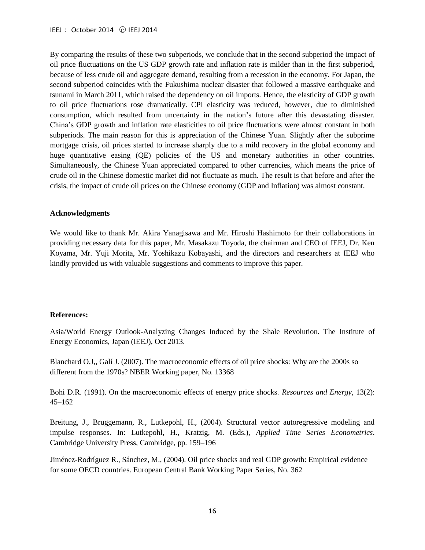By comparing the results of these two subperiods, we conclude that in the second subperiod the impact of oil price fluctuations on the US GDP growth rate and inflation rate is milder than in the first subperiod, because of less crude oil and aggregate demand, resulting from a recession in the economy. For Japan, the second subperiod coincides with the Fukushima nuclear disaster that followed a massive earthquake and tsunami in March 2011, which raised the dependency on oil imports. Hence, the elasticity of GDP growth to oil price fluctuations rose dramatically. CPI elasticity was reduced, however, due to diminished consumption, which resulted from uncertainty in the nation's future after this devastating disaster. China's GDP growth and inflation rate elasticities to oil price fluctuations were almost constant in both subperiods. The main reason for this is appreciation of the Chinese Yuan. Slightly after the subprime mortgage crisis, oil prices started to increase sharply due to a mild recovery in the global economy and huge quantitative easing (QE) policies of the US and monetary authorities in other countries. Simultaneously, the Chinese Yuan appreciated compared to other currencies, which means the price of crude oil in the Chinese domestic market did not fluctuate as much. The result is that before and after the crisis, the impact of crude oil prices on the Chinese economy (GDP and Inflation) was almost constant.

#### **Acknowledgments**

We would like to thank Mr. Akira Yanagisawa and Mr. Hiroshi Hashimoto for their collaborations in providing necessary data for this paper, Mr. Masakazu Toyoda, the chairman and CEO of IEEJ, Dr. Ken Koyama, Mr. Yuji Morita, Mr. Yoshikazu Kobayashi, and the directors and researchers at IEEJ who kindly provided us with valuable suggestions and comments to improve this paper.

#### **References:**

Asia/World Energy Outlook-Analyzing Changes Induced by the Shale Revolution. The Institute of Energy Economics, Japan (IEEJ), Oct 2013.

Blanchard O.J,, Galí J. (2007). The macroeconomic effects of oil price shocks: Why are the 2000s so different from the 1970s? NBER Working paper, No. 13368

Bohi D.R. (1991). On the macroeconomic effects of energy price shocks. *Resources and Energy*, 13(2): 45–162

Breitung, J., Bruggemann, R., Lutkepohl, H., (2004). Structural vector autoregressive modeling and impulse responses. In: Lutkepohl, H., Kratzig, M. (Eds.), *Applied Time Series Econometrics*. Cambridge University Press, Cambridge, pp. 159–196

Jiménez-Rodríguez R., Sánchez, M., (2004). Oil price shocks and real GDP growth: Empirical evidence for some OECD countries. European Central Bank Working Paper Series, No. 362